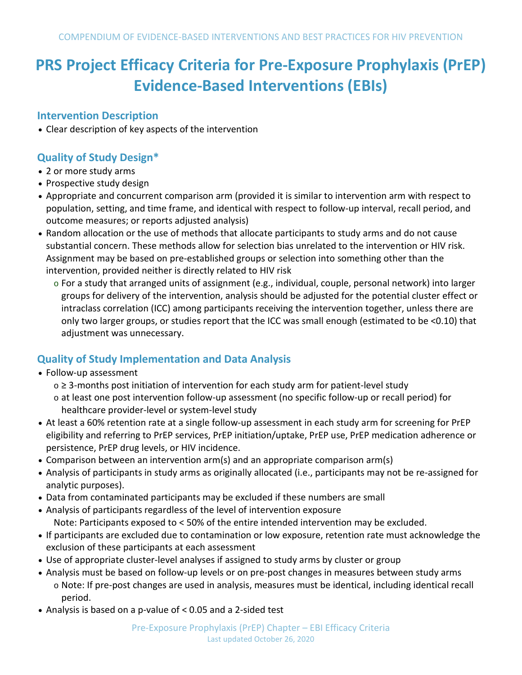# **PRS Project Efficacy Criteria for Pre-Exposure Prophylaxis (PrEP) Evidence-Based Interventions (EBIs)**

## **Intervention Description**

• Clear description of key aspects of the intervention

## **Quality of Study Design\***

- 2 or more study arms
- Prospective study design
- Appropriate and concurrent comparison arm (provided it is similar to intervention arm with respect to population, setting, and time frame, and identical with respect to follow-up interval, recall period, and outcome measures; or reports adjusted analysis)
- Random allocation or the use of methods that allocate participants to study arms and do not cause substantial concern. These methods allow for selection bias unrelated to the intervention or HIV risk. Assignment may be based on pre-established groups or selection into something other than the intervention, provided neither is directly related to HIV risk
	- o For a study that arranged units of assignment (e.g., individual, couple, personal network) into larger groups for delivery of the intervention, analysis should be adjusted for the potential cluster effect or intraclass correlation (ICC) among participants receiving the intervention together, unless there are only two larger groups, or studies report that the ICC was small enough (estimated to be <0.10) that adjustment was unnecessary.

## **Quality of Study Implementation and Data Analysis**

- Follow-up assessment
	- o ≥ 3-months post initiation of intervention for each study arm for patient-level study
	- o at least one post intervention follow-up assessment (no specific follow-up or recall period) for healthcare provider-level or system-level study
- At least a 60% retention rate at a single follow-up assessment in each study arm for screening for PrEP eligibility and referring to PrEP services, PrEP initiation/uptake, PrEP use, PrEP medication adherence or persistence, PrEP drug levels, or HIV incidence.
- Comparison between an intervention arm(s) and an appropriate comparison arm(s)
- Analysis of participants in study arms as originally allocated (i.e., participants may not be re-assigned for analytic purposes).
- Data from contaminated participants may be excluded if these numbers are small
- Analysis of participants regardless of the level of intervention exposure Note: Participants exposed to < 50% of the entire intended intervention may be excluded.
- If participants are excluded due to contamination or low exposure, retention rate must acknowledge the exclusion of these participants at each assessment
- Use of appropriate cluster-level analyses if assigned to study arms by cluster or group
- Analysis must be based on follow-up levels or on pre-post changes in measures between study arms o Note: If pre-post changes are used in analysis, measures must be identical, including identical recall period.
- Analysis is based on a p-value of < 0.05 and a 2-sided test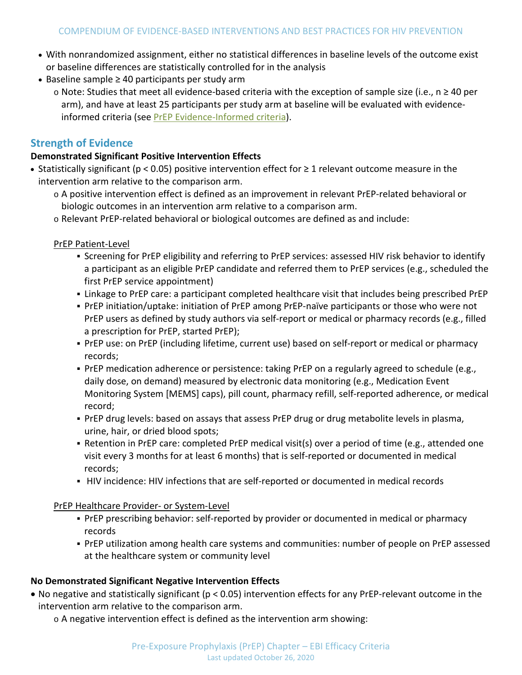- With nonrandomized assignment, either no statistical differences in baseline levels of the outcome exist or baseline differences are statistically controlled for in the analysis
- Baseline sample ≥ 40 participants per study arm
	- o Note: Studies that meet all evidence-based criteria with the exception of sample size (i.e., n ≥ 40 per arm), and have at least 25 participants per study arm at baseline will be evaluated with evidenceinformed criteria (see PrEP [Evidence-Informed criteria\)](https://www.cdc.gov/hiv/research/interventionresearch/compendium/prep/prep-best-practices.html).

#### **Strength of Evidence**

#### **Demonstrated Significant Positive Intervention Effects**

- Statistically significant (p < 0.05) positive intervention effect for ≥ 1 relevant outcome measure in the intervention arm relative to the comparison arm.
	- o A positive intervention effect is defined as an improvement in relevant PrEP-related behavioral or biologic outcomes in an intervention arm relative to a comparison arm.
	- o Relevant PrEP-related behavioral or biological outcomes are defined as and include:

PrEP Patient-Level

- Screening for PrEP eligibility and referring to PrEP services: assessed HIV risk behavior to identify a participant as an eligible PrEP candidate and referred them to PrEP services (e.g., scheduled the first PrEP service appointment)
- Linkage to PrEP care: a participant completed healthcare visit that includes being prescribed PrEP
- PrEP initiation/uptake: initiation of PrEP among PrEP-naïve participants or those who were not PrEP users as defined by study authors via self-report or medical or pharmacy records (e.g., filled a prescription for PrEP, started PrEP);
- PrEP use: on PrEP (including lifetime, current use) based on self-report or medical or pharmacy records;
- PrEP medication adherence or persistence: taking PrEP on a regularly agreed to schedule (e.g., daily dose, on demand) measured by electronic data monitoring (e.g., Medication Event Monitoring System [MEMS] caps), pill count, pharmacy refill, self-reported adherence, or medical record;
- PrEP drug levels: based on assays that assess PrEP drug or drug metabolite levels in plasma, urine, hair, or dried blood spots;
- Retention in PrEP care: completed PrEP medical visit(s) over a period of time (e.g., attended one visit every 3 months for at least 6 months) that is self-reported or documented in medical records;
- HIV incidence: HIV infections that are self-reported or documented in medical records

PrEP Healthcare Provider- or System-Level

- PrEP prescribing behavior: self-reported by provider or documented in medical or pharmacy records
- PrEP utilization among health care systems and communities: number of people on PrEP assessed at the healthcare system or community level

#### **No Demonstrated Significant Negative Intervention Effects**

- No negative and statistically significant (p < 0.05) intervention effects for any PrEP-relevant outcome in the intervention arm relative to the comparison arm.
	- o A negative intervention effect is defined as the intervention arm showing: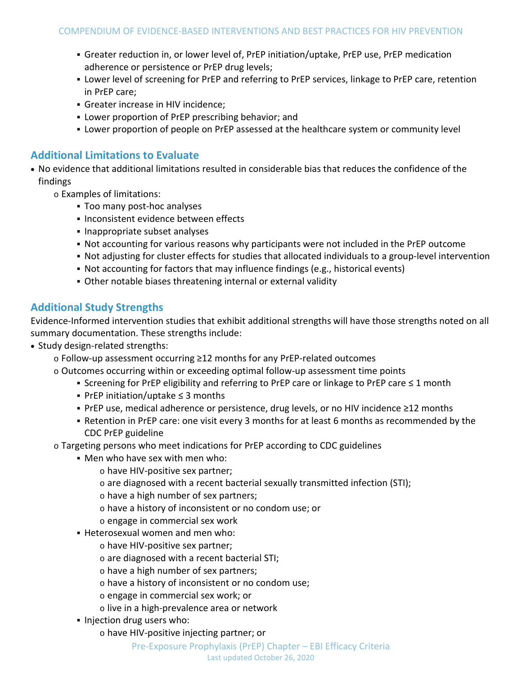- Greater reduction in, or lower level of, PrEP initiation/uptake, PrEP use, PrEP medication adherence or persistence or PrEP drug levels;
- Lower level of screening for PrEP and referring to PrEP services, linkage to PrEP care, retention in PrEP care;
- Greater increase in HIV incidence;
- Lower proportion of PrEP prescribing behavior; and
- Lower proportion of people on PrEP assessed at the healthcare system or community level

### **Additional Limitations to Evaluate**

- No evidence that additional limitations resulted in considerable bias that reduces the confidence of the findings
	- o Examples of limitations:
		- Too many post-hoc analyses
		- **Inconsistent evidence between effects**
		- **Inappropriate subset analyses**
		- Not accounting for various reasons why participants were not included in the PrEP outcome
		- Not adjusting for cluster effects for studies that allocated individuals to a group-level intervention
		- Not accounting for factors that may influence findings (e.g., historical events)
		- Other notable biases threatening internal or external validity

## **Additional Study Strengths**

Evidence-Informed intervention studies that exhibit additional strengths will have those strengths noted on all summary documentation. These strengths include:

- Study design-related strengths:
	- o Follow-up assessment occurring ≥12 months for any PrEP-related outcomes
	- $\circ$  Outcomes occurring within or exceeding optimal follow-up assessment time points
		- Screening for PrEP eligibility and referring to PrEP care or linkage to PrEP care ≤ 1 month
		- PrEP initiation/uptake ≤ 3 months
		- PrEP use, medical adherence or persistence, drug levels, or no HIV incidence ≥12 months
		- Retention in PrEP care: one visit every 3 months for at least 6 months as recommended by the CDC PrEP guideline
	- o Targeting persons who meet indications for PrEP according to CDC guidelines
		- Men who have sex with men who:
			- o have HIV-positive sex partner;
				- o are diagnosed with a recent bacterial sexually transmitted infection (STI);
				- o have a high number of sex partners;
				- o have a history of inconsistent or no condom use; or
				- o engage in commercial sex work
		- Heterosexual women and men who:
			- o have HIV-positive sex partner;
			- o are diagnosed with a recent bacterial STI;
			- o have a high number of sex partners;
			- o have a history of inconsistent or no condom use;
			- o engage in commercial sex work; or
			- o live in a high-prevalence area or network
		- Injection drug users who:
			- o have HIV-positive injecting partner; or

#### Pre-Exposure Prophylaxis (PrEP) Chapter – EBI Efficacy Criteria Last updated October 26, 2020